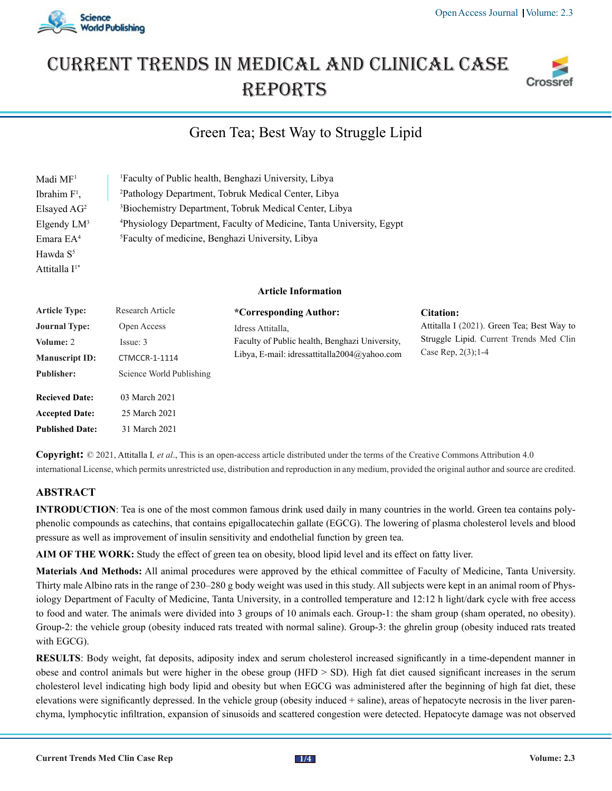# Current trends in medical and Clinical case **REPORTS**

# Green Tea; Best Way to Struggle Lipid

| Madi MF <sup>1</sup>      | <sup>1</sup> Faculty of Public health, Benghazi University, Libya                |  |  |
|---------------------------|----------------------------------------------------------------------------------|--|--|
| Ibrahim F <sup>1</sup> ,  | <sup>2</sup> Pathology Department, Tobruk Medical Center, Libya                  |  |  |
| Elsayed AG <sup>2</sup>   | <sup>3</sup> Biochemistry Department, Tobruk Medical Center, Libya               |  |  |
| Elgendy LM <sup>3</sup>   | <sup>4</sup> Physiology Department, Faculty of Medicine, Tanta University, Egypt |  |  |
| Emara EA <sup>4</sup>     | <sup>5</sup> Faculty of medicine, Benghazi University, Libya                     |  |  |
| Hawda S <sup>5</sup>      |                                                                                  |  |  |
| Attitalla I <sup>1*</sup> |                                                                                  |  |  |
|                           | Article Information                                                              |  |  |

| <b>Article Type:</b>   | Research Article         | *Corresponding Author:                                                                                              | Citation:                                                                                                       |
|------------------------|--------------------------|---------------------------------------------------------------------------------------------------------------------|-----------------------------------------------------------------------------------------------------------------|
| <b>Journal Type:</b>   | Open Access              | Idress Attitalla.<br>Faculty of Public health, Benghazi University,<br>Libya, E-mail: idressattitalla2004@yahoo.com | Attitalla I (2021). Green Tea; Best Way to<br>Struggle Lipid. Current Trends Med Clin<br>Case Rep. $2(3)$ ; 1-4 |
| Volume: 2              | Issue: 3                 |                                                                                                                     |                                                                                                                 |
| <b>Manuscript ID:</b>  | CTMCCR-1-1114            |                                                                                                                     |                                                                                                                 |
| <b>Publisher:</b>      | Science World Publishing |                                                                                                                     |                                                                                                                 |
| <b>Recieved Date:</b>  | 03 March 2021            |                                                                                                                     |                                                                                                                 |
| <b>Accepted Date:</b>  | 25 March 2021            |                                                                                                                     |                                                                                                                 |
| <b>Published Date:</b> | 31 March 2021            |                                                                                                                     |                                                                                                                 |

**Copyright:** © 2021, Attitalla I*, et al*., This is an open-access article distributed under the terms of the Creative Commons Attribution 4.0 international License, which permits unrestricted use, distribution and reproduction in any medium, provided the original author and source are credited.

# **ABSTRACT**

**INTRODUCTION**: Tea is one of the most common famous drink used daily in many countries in the world. Green tea contains polyphenolic compounds as catechins, that contains epigallocatechin gallate (EGCG). The lowering of plasma cholesterol levels and blood pressure as well as improvement of insulin sensitivity and endothelial function by green tea.

**AIM OF THE WORK:** Study the effect of green tea on obesity, blood lipid level and its effect on fatty liver.

**Materials And Methods:** All animal procedures were approved by the ethical committee of Faculty of Medicine, Tanta University. Thirty male Albino rats in the range of 230–280 g body weight was used in this study. All subjects were kept in an animal room of Physiology Department of Faculty of Medicine, Tanta University, in a controlled temperature and 12:12 h light/dark cycle with free access to food and water. The animals were divided into 3 groups of 10 animals each. Group-1: the sham group (sham operated, no obesity). Group-2: the vehicle group (obesity induced rats treated with normal saline). Group-3: the ghrelin group (obesity induced rats treated with EGCG).

**RESULTS**: Body weight, fat deposits, adiposity index and serum cholesterol increased significantly in a time-dependent manner in obese and control animals but were higher in the obese group (HFD > SD). High fat diet caused significant increases in the serum cholesterol level indicating high body lipid and obesity but when EGCG was administered after the beginning of high fat diet, these elevations were significantly depressed. In the vehicle group (obesity induced + saline), areas of hepatocyte necrosis in the liver parenchyma, lymphocytic infiltration, expansion of sinusoids and scattered congestion were detected. Hepatocyte damage was not observed





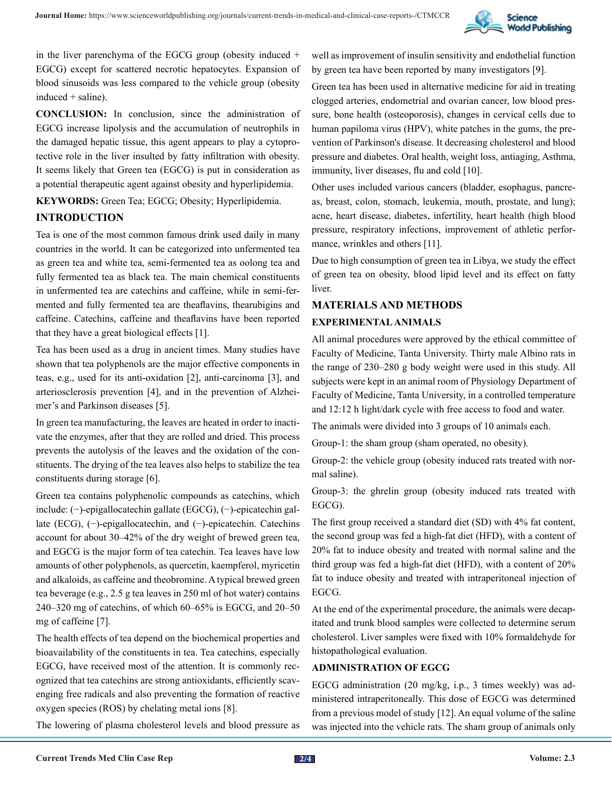

in the liver parenchyma of the EGCG group (obesity induced + EGCG) except for scattered necrotic hepatocytes. Expansion of blood sinusoids was less compared to the vehicle group (obesity induced + saline).

**CONCLUSION:** In conclusion, since the administration of EGCG increase lipolysis and the accumulation of neutrophils in the damaged hepatic tissue, this agent appears to play a cytoprotective role in the liver insulted by fatty infiltration with obesity. It seems likely that Green tea (EGCG) is put in consideration as a potential therapeutic agent against obesity and hyperlipidemia.

# **KEYWORDS:** Green Tea; EGCG; Obesity; Hyperlipidemia. **INTRODUCTION**

Tea is one of the most common famous drink used daily in many countries in the world. It can be categorized into unfermented tea as green tea and white tea, semi-fermented tea as oolong tea and fully fermented tea as black tea. The main chemical constituents in unfermented tea are catechins and caffeine, while in semi-fermented and fully fermented tea are theaflavins, thearubigins and caffeine. Catechins, caffeine and theaflavins have been reported that they have a great biological effects [1].

Tea has been used as a drug in ancient times. Many studies have shown that tea polyphenols are the major effective components in teas, e.g., used for its anti-oxidation [2], anti-carcinoma [3], and arteriosclerosis prevention [4], and in the prevention of Alzheimer's and Parkinson diseases [5].

In green tea manufacturing, the leaves are heated in order to inactivate the enzymes, after that they are rolled and dried. This process prevents the autolysis of the leaves and the oxidation of the constituents. The drying of the tea leaves also helps to stabilize the tea constituents during storage [6].

Green tea contains polyphenolic compounds as catechins, which include: (−)-epigallocatechin gallate (EGCG), (−)-epicatechin gallate (ECG), (−)-epigallocatechin, and (−)-epicatechin. Catechins account for about 30–42% of the dry weight of brewed green tea, and EGCG is the major form of tea catechin. Tea leaves have low amounts of other polyphenols, as quercetin, kaempferol, myricetin and alkaloids, as caffeine and theobromine. A typical brewed green tea beverage (e.g., 2.5 g tea leaves in 250 ml of hot water) contains 240–320 mg of catechins, of which 60–65% is EGCG, and 20–50 mg of caffeine [7].

The health effects of tea depend on the biochemical properties and bioavailability of the constituents in tea. Tea catechins, especially EGCG, have received most of the attention. It is commonly recognized that tea catechins are strong antioxidants, efficiently scavenging free radicals and also preventing the formation of reactive oxygen species (ROS) by chelating metal ions [8].

The lowering of plasma cholesterol levels and blood pressure as

well as improvement of insulin sensitivity and endothelial function by green tea have been reported by many investigators [9].

Green tea has been used in alternative medicine for aid in treating clogged arteries, endometrial and ovarian cancer, low blood pressure, bone health (osteoporosis), changes in cervical cells due to human papiloma virus (HPV), white patches in the gums, the prevention of Parkinson's disease. It decreasing cholesterol and blood pressure and diabetes. Oral health, weight loss, antiaging, Asthma, immunity, liver diseases, flu and cold [10].

Other uses included various cancers (bladder, esophagus, pancreas, breast, colon, stomach, leukemia, mouth, prostate, and lung); acne, heart disease, diabetes, infertility, heart health (high blood pressure, respiratory infections, improvement of athletic performance, wrinkles and others [11].

Due to high consumption of green tea in Libya, we study the effect of green tea on obesity, blood lipid level and its effect on fatty liver.

### **MATERIALS AND METHODS**

#### **EXPERIMENTAL ANIMALS**

All animal procedures were approved by the ethical committee of Faculty of Medicine, Tanta University. Thirty male Albino rats in the range of 230–280 g body weight were used in this study. All subjects were kept in an animal room of Physiology Department of Faculty of Medicine, Tanta University, in a controlled temperature and 12:12 h light/dark cycle with free access to food and water.

The animals were divided into 3 groups of 10 animals each.

Group-1: the sham group (sham operated, no obesity).

Group-2: the vehicle group (obesity induced rats treated with normal saline).

Group-3: the ghrelin group (obesity induced rats treated with EGCG).

The first group received a standard diet (SD) with 4% fat content, the second group was fed a high-fat diet (HFD), with a content of 20% fat to induce obesity and treated with normal saline and the third group was fed a high-fat diet (HFD), with a content of 20% fat to induce obesity and treated with intraperitoneal injection of EGCG.

At the end of the experimental procedure, the animals were decapitated and trunk blood samples were collected to determine serum cholesterol. Liver samples were fixed with 10% formaldehyde for histopathological evaluation.

#### **ADMINISTRATION OF EGCG**

EGCG administration (20 mg/kg, i.p., 3 times weekly) was administered intraperitoneally. This dose of EGCG was determined from a previous model of study [12]. An equal volume of the saline was injected into the vehicle rats. The sham group of animals only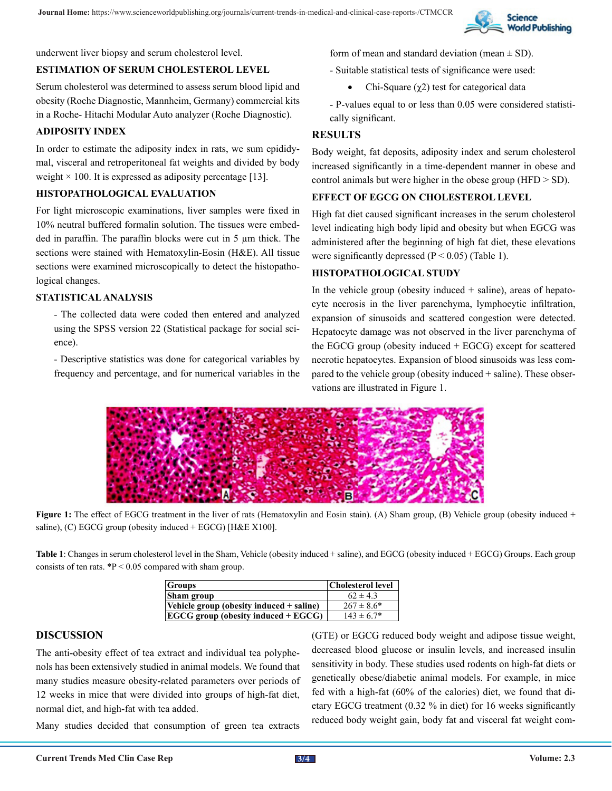

underwent liver biopsy and serum cholesterol level.

#### **ESTIMATION OF SERUM CHOLESTEROL LEVEL**

Serum cholesterol was determined to assess serum blood lipid and obesity (Roche Diagnostic, Mannheim, Germany) commercial kits in a Roche- Hitachi Modular Auto analyzer (Roche Diagnostic).

#### **ADIPOSITY INDEX**

In order to estimate the adiposity index in rats, we sum epididymal, visceral and retroperitoneal fat weights and divided by body weight  $\times$  100. It is expressed as adiposity percentage [13].

#### **HISTOPATHOLOGICAL EVALUATION**

For light microscopic examinations, liver samples were fixed in 10% neutral buffered formalin solution. The tissues were embedded in paraffin. The paraffin blocks were cut in 5 µm thick. The sections were stained with Hematoxylin-Eosin (H&E). All tissue sections were examined microscopically to detect the histopathological changes.

#### **STATISTICAL ANALYSIS**

- The collected data were coded then entered and analyzed using the SPSS version 22 (Statistical package for social science).

- Descriptive statistics was done for categorical variables by frequency and percentage, and for numerical variables in the form of mean and standard deviation (mean  $\pm$  SD).

- Suitable statistical tests of significance were used:
	- Chi-Square  $(χ2)$  test for categorical data

- P-values equal to or less than 0.05 were considered statistically significant.

#### **RESULTS**

Body weight, fat deposits, adiposity index and serum cholesterol increased significantly in a time-dependent manner in obese and control animals but were higher in the obese group (HFD > SD).

#### **EFFECT OF EGCG ON CHOLESTEROL LEVEL**

High fat diet caused significant increases in the serum cholesterol level indicating high body lipid and obesity but when EGCG was administered after the beginning of high fat diet, these elevations were significantly depressed  $(P < 0.05)$  (Table 1).

#### **HISTOPATHOLOGICAL STUDY**

In the vehicle group (obesity induced  $+$  saline), areas of hepatocyte necrosis in the liver parenchyma, lymphocytic infiltration, expansion of sinusoids and scattered congestion were detected. Hepatocyte damage was not observed in the liver parenchyma of the EGCG group (obesity induced + EGCG) except for scattered necrotic hepatocytes. Expansion of blood sinusoids was less compared to the vehicle group (obesity induced + saline). These observations are illustrated in Figure 1.



**Figure 1:** The effect of EGCG treatment in the liver of rats (Hematoxylin and Eosin stain). (A) Sham group, (B) Vehicle group (obesity induced + saline), (C) EGCG group (obesity induced + EGCG) [H&E X100].

**Table 1**: Changes in serum cholesterol level in the Sham, Vehicle (obesity induced + saline), and EGCG (obesity induced + EGCG) Groups. Each group consists of ten rats.  ${}^{*}P < 0.05$  compared with sham group.

| <b>Groups</b>                            | <b>Cholesterol level</b> |
|------------------------------------------|--------------------------|
| Sham group                               | $62 \pm 4.3$             |
| Vehicle group (obesity induced + saline) | $267 \pm 8.6^*$          |
| $EGCG$ group (obesity induced $+EGCG$ )  | $143 \pm 6.7^*$          |

#### **DISCUSSION**

The anti-obesity effect of tea extract and individual tea polyphenols has been extensively studied in animal models. We found that many studies measure obesity-related parameters over periods of 12 weeks in mice that were divided into groups of high-fat diet, normal diet, and high-fat with tea added.

Many studies decided that consumption of green tea extracts

(GTE) or EGCG reduced body weight and adipose tissue weight, decreased blood glucose or insulin levels, and increased insulin sensitivity in body. These studies used rodents on high-fat diets or genetically obese/diabetic animal models. For example, in mice fed with a high-fat (60% of the calories) diet, we found that dietary EGCG treatment (0.32 % in diet) for 16 weeks significantly reduced body weight gain, body fat and visceral fat weight com-

 **3/4**